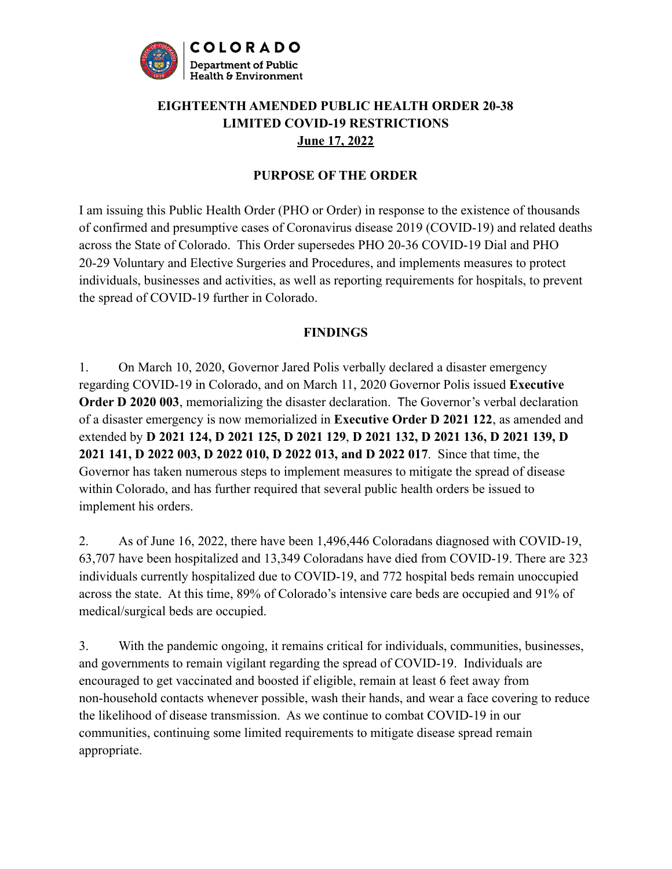

## **EIGHTEENTH AMENDED PUBLIC HEALTH ORDER 20-38 LIMITED COVID-19 RESTRICTIONS June 17, 2022**

#### **PURPOSE OF THE ORDER**

I am issuing this Public Health Order (PHO or Order) in response to the existence of thousands of confirmed and presumptive cases of Coronavirus disease 2019 (COVID-19) and related deaths across the State of Colorado. This Order supersedes PHO 20-36 COVID-19 Dial and PHO 20-29 Voluntary and Elective Surgeries and Procedures, and implements measures to protect individuals, businesses and activities, as well as reporting requirements for hospitals, to prevent the spread of COVID-19 further in Colorado.

#### **FINDINGS**

1. On March 10, 2020, Governor Jared Polis verbally declared a disaster emergency regarding COVID-19 in Colorado, and on March 11, 2020 Governor Polis issued **Executive Order D 2020 003**, memorializing the disaster declaration. The Governor's verbal declaration of a disaster emergency is now memorialized in **Executive Order D 2021 122**, as amended and extended by **D 2021 124, D 2021 125, D 2021 129**, **D 2021 132, D 2021 136, D 2021 139, D 2021 141, D 2022 003, D 2022 010, D 2022 013, and D 2022 017**. Since that time, the Governor has taken numerous steps to implement measures to mitigate the spread of disease within Colorado, and has further required that several public health orders be issued to implement his orders.

2. As of June 16, 2022, there have been 1,496,446 Coloradans diagnosed with COVID-19, 63,707 have been hospitalized and 13,349 Coloradans have died from COVID-19. There are 323 individuals currently hospitalized due to COVID-19, and 772 hospital beds remain unoccupied across the state. At this time, 89% of Colorado's intensive care beds are occupied and 91% of medical/surgical beds are occupied.

3. With the pandemic ongoing, it remains critical for individuals, communities, businesses, and governments to remain vigilant regarding the spread of COVID-19. Individuals are encouraged to get vaccinated and boosted if eligible, remain at least 6 feet away from non-household contacts whenever possible, wash their hands, and wear a face covering to reduce the likelihood of disease transmission. As we continue to combat COVID-19 in our communities, continuing some limited requirements to mitigate disease spread remain appropriate.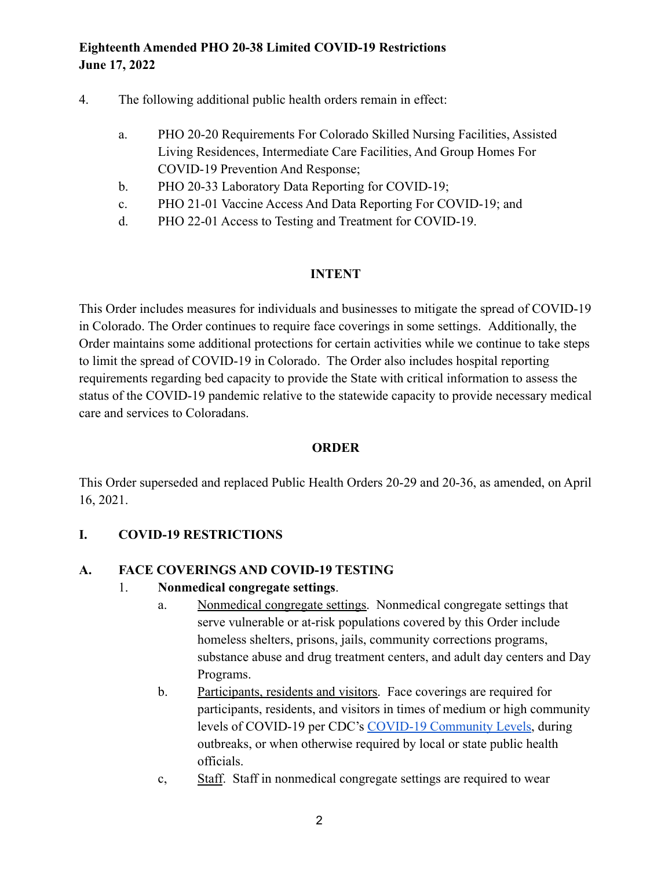- 4. The following additional public health orders remain in effect:
	- a. PHO 20-20 Requirements For Colorado Skilled Nursing Facilities, Assisted Living Residences, Intermediate Care Facilities, And Group Homes For COVID-19 Prevention And Response;
	- b. PHO 20-33 Laboratory Data Reporting for COVID-19;
	- c. PHO 21-01 Vaccine Access And Data Reporting For COVID-19; and
	- d. PHO 22-01 Access to Testing and Treatment for COVID-19.

#### **INTENT**

This Order includes measures for individuals and businesses to mitigate the spread of COVID-19 in Colorado. The Order continues to require face coverings in some settings. Additionally, the Order maintains some additional protections for certain activities while we continue to take steps to limit the spread of COVID-19 in Colorado. The Order also includes hospital reporting requirements regarding bed capacity to provide the State with critical information to assess the status of the COVID-19 pandemic relative to the statewide capacity to provide necessary medical care and services to Coloradans.

#### **ORDER**

This Order superseded and replaced Public Health Orders 20-29 and 20-36, as amended, on April 16, 2021.

## **I. COVID-19 RESTRICTIONS**

#### **A. FACE COVERINGS AND COVID-19 TESTING**

#### 1. **Nonmedical congregate settings**.

- a. Nonmedical congregate settings. Nonmedical congregate settings that serve vulnerable or at-risk populations covered by this Order include homeless shelters, prisons, jails, community corrections programs, substance abuse and drug treatment centers, and adult day centers and Day Programs.
- b. Participants, residents and visitors. Face coverings are required for participants, residents, and visitors in times of medium or high community levels of COVID-19 per CDC's [COVID-19 Community Levels](https://www.cdc.gov/coronavirus/2019-ncov/science/community-levels.html), during outbreaks, or when otherwise required by local or state public health officials.
- c, Staff. Staff in nonmedical congregate settings are required to wear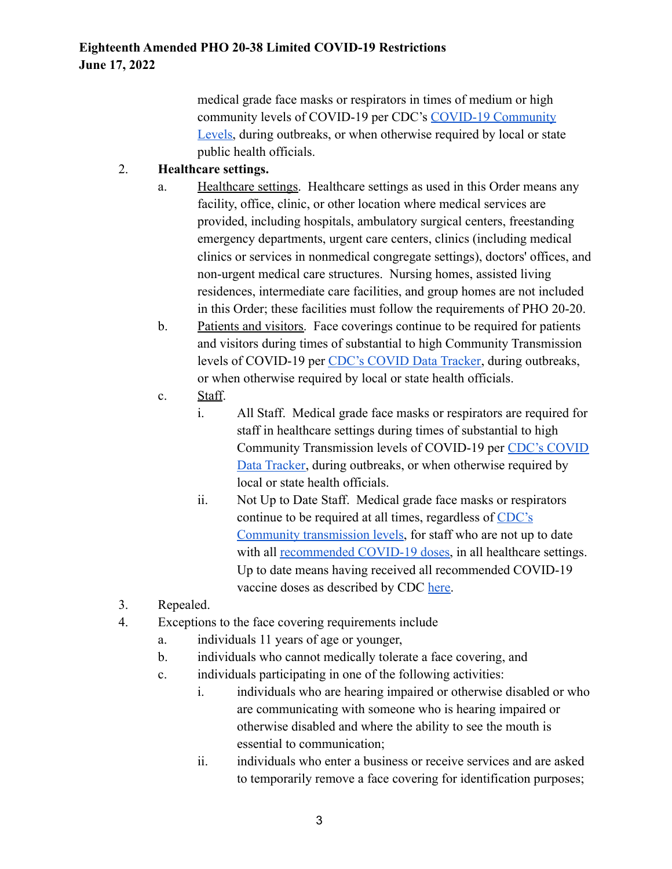medical grade face masks or respirators in times of medium or high community levels of COVID-19 per CDC's [COVID-19 Community](https://www.cdc.gov/coronavirus/2019-ncov/science/community-levels.html) [Levels,](https://www.cdc.gov/coronavirus/2019-ncov/science/community-levels.html) during outbreaks, or when otherwise required by local or state public health officials.

## 2. **Healthcare settings.**

- a. Healthcare settings. Healthcare settings as used in this Order means any facility, office, clinic, or other location where medical services are provided, including hospitals, ambulatory surgical centers, freestanding emergency departments, urgent care centers, clinics (including medical clinics or services in nonmedical congregate settings), doctors' offices, and non-urgent medical care structures. Nursing homes, assisted living residences, intermediate care facilities, and group homes are not included in this Order; these facilities must follow the requirements of PHO 20-20.
- b. Patients and visitors. Face coverings continue to be required for patients and visitors during times of substantial to high Community Transmission levels of COVID-19 per [CDC's COVID Data Tracker,](https://covid.cdc.gov/covid-data-tracker/#datatracker-home) during outbreaks, or when otherwise required by local or state health officials.
- c. Staff.
	- i. All Staff. Medical grade face masks or respirators are required for staff in healthcare settings during times of substantial to high Community Transmission levels of COVID-19 per CDC's [COVID](https://covid.cdc.gov/covid-data-tracker/#datatracker-home) [Data Tracker,](https://covid.cdc.gov/covid-data-tracker/#datatracker-home) during outbreaks, or when otherwise required by local or state health officials.
	- ii. Not Up to Date Staff. Medical grade face masks or respirators continue to be required at all times, regardless of [CDC's](https://covid.cdc.gov/) [Community transmission levels,](https://covid.cdc.gov/) for staff who are not up to date with all [recommended COVID-19 doses,](https://covid19.colorado.gov/follow-up-doses) in all healthcare settings. Up to date means having received all recommended COVID-19 vaccine doses as described by CDC [here.](https://www.cdc.gov/coronavirus/2019-ncov/vaccines/stay-up-to-date.html)
- 3. Repealed.
- 4. Exceptions to the face covering requirements include
	- a. individuals 11 years of age or younger,
	- b. individuals who cannot medically tolerate a face covering, and
	- c. individuals participating in one of the following activities:
		- i. individuals who are hearing impaired or otherwise disabled or who are communicating with someone who is hearing impaired or otherwise disabled and where the ability to see the mouth is essential to communication;
		- ii. individuals who enter a business or receive services and are asked to temporarily remove a face covering for identification purposes;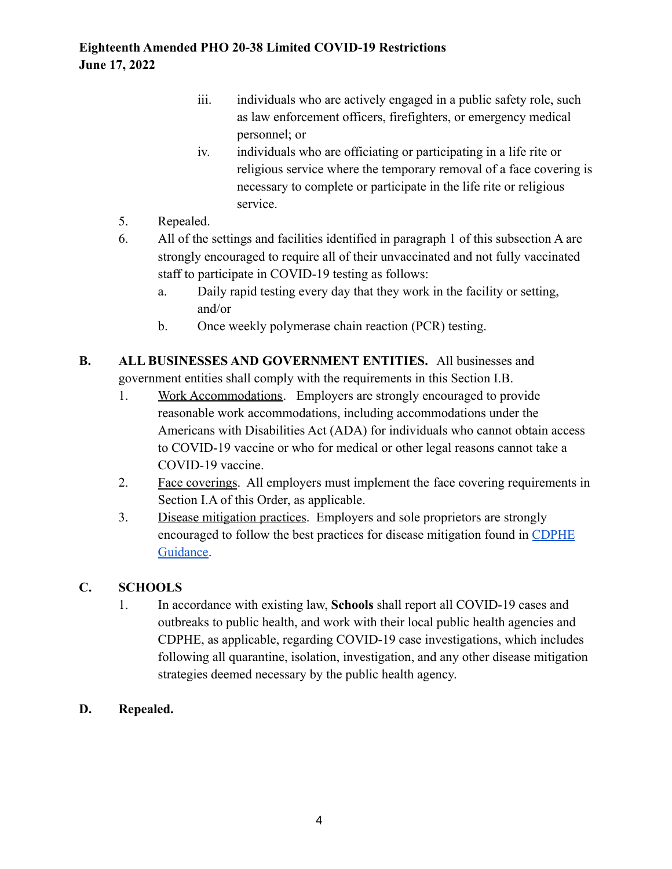- iii. individuals who are actively engaged in a public safety role, such as law enforcement officers, firefighters, or emergency medical personnel; or
- iv. individuals who are officiating or participating in a life rite or religious service where the temporary removal of a face covering is necessary to complete or participate in the life rite or religious service.
- 5. Repealed.
- 6. All of the settings and facilities identified in paragraph 1 of this subsection A are strongly encouraged to require all of their unvaccinated and not fully vaccinated staff to participate in COVID-19 testing as follows:
	- a. Daily rapid testing every day that they work in the facility or setting, and/or
	- b. Once weekly polymerase chain reaction (PCR) testing.
- **B. ALL BUSINESSES AND GOVERNMENT ENTITIES.** All businesses and government entities shall comply with the requirements in this Section I.B.
	- 1. Work Accommodations. Employers are strongly encouraged to provide reasonable work accommodations, including accommodations under the Americans with Disabilities Act (ADA) for individuals who cannot obtain access to COVID-19 vaccine or who for medical or other legal reasons cannot take a COVID-19 vaccine.
	- 2. Face coverings. All employers must implement the face covering requirements in Section I.A of this Order, as applicable.
	- 3. Disease mitigation practices. Employers and sole proprietors are strongly encouraged to follow the best practices for disease mitigation found in [CDPHE](https://covid19.colorado.gov/covid-19-in-colorado/guidance-for-schools-workplaces-communities) [Guidance.](https://covid19.colorado.gov/covid-19-in-colorado/guidance-for-schools-workplaces-communities)

# **C. SCHOOLS**

1. In accordance with existing law, **Schools** shall report all COVID-19 cases and outbreaks to public health, and work with their local public health agencies and CDPHE, as applicable, regarding COVID-19 case investigations, which includes following all quarantine, isolation, investigation, and any other disease mitigation strategies deemed necessary by the public health agency.

# **D. Repealed.**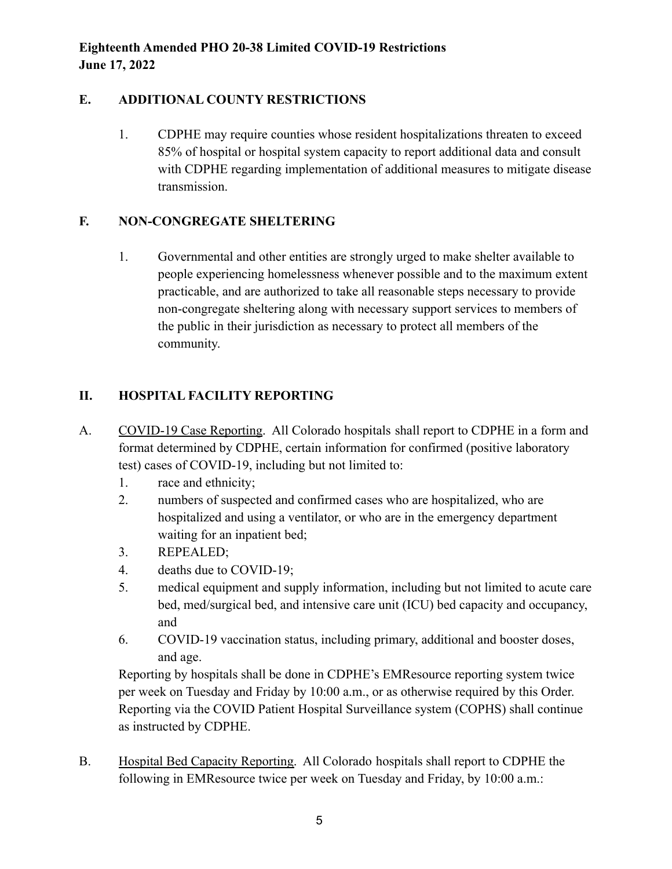## **E. ADDITIONAL COUNTY RESTRICTIONS**

1. CDPHE may require counties whose resident hospitalizations threaten to exceed 85% of hospital or hospital system capacity to report additional data and consult with CDPHE regarding implementation of additional measures to mitigate disease transmission.

## **F. NON-CONGREGATE SHELTERING**

1. Governmental and other entities are strongly urged to make shelter available to people experiencing homelessness whenever possible and to the maximum extent practicable, and are authorized to take all reasonable steps necessary to provide non-congregate sheltering along with necessary support services to members of the public in their jurisdiction as necessary to protect all members of the community.

# **II. HOSPITAL FACILITY REPORTING**

- A. COVID-19 Case Reporting. All Colorado hospitals shall report to CDPHE in a form and format determined by CDPHE, certain information for confirmed (positive laboratory test) cases of COVID-19, including but not limited to:
	- 1. race and ethnicity;
	- 2. numbers of suspected and confirmed cases who are hospitalized, who are hospitalized and using a ventilator, or who are in the emergency department waiting for an inpatient bed;
	- 3. REPEALED;
	- 4. deaths due to COVID-19;
	- 5. medical equipment and supply information, including but not limited to acute care bed, med/surgical bed, and intensive care unit (ICU) bed capacity and occupancy, and
	- 6. COVID-19 vaccination status, including primary, additional and booster doses, and age.

Reporting by hospitals shall be done in CDPHE's EMResource reporting system twice per week on Tuesday and Friday by 10:00 a.m., or as otherwise required by this Order. Reporting via the COVID Patient Hospital Surveillance system (COPHS) shall continue as instructed by CDPHE.

B. Hospital Bed Capacity Reporting. All Colorado hospitals shall report to CDPHE the following in EMResource twice per week on Tuesday and Friday, by 10:00 a.m.: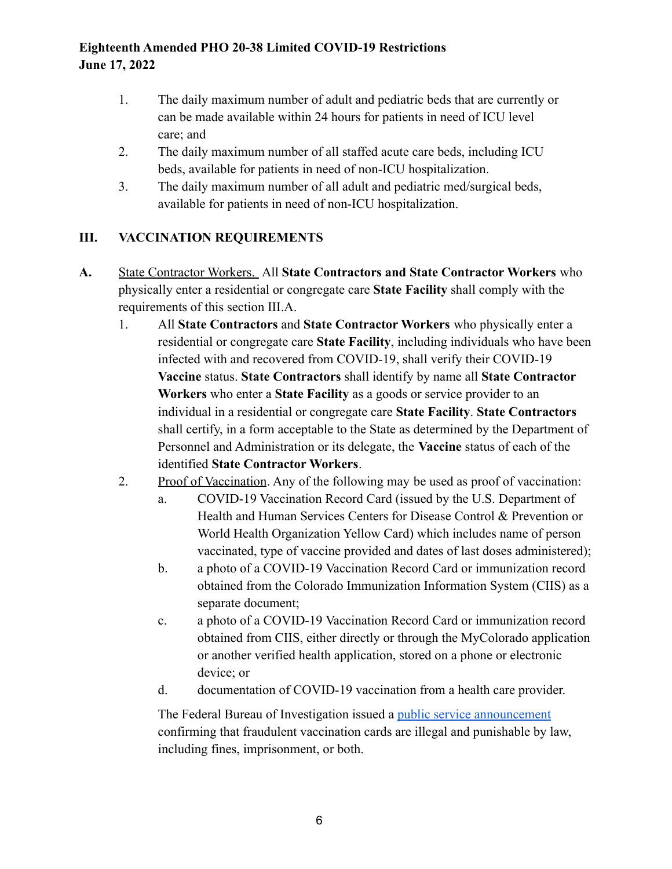- 1. The daily maximum number of adult and pediatric beds that are currently or can be made available within 24 hours for patients in need of ICU level care; and
- 2. The daily maximum number of all staffed acute care beds, including ICU beds, available for patients in need of non-ICU hospitalization.
- 3. The daily maximum number of all adult and pediatric med/surgical beds, available for patients in need of non-ICU hospitalization.

# **III. VACCINATION REQUIREMENTS**

- **A.** State Contractor Workers. All **State Contractors and State Contractor Workers** who physically enter a residential or congregate care **State Facility** shall comply with the requirements of this section III.A.
	- 1. All **State Contractors** and **State Contractor Workers** who physically enter a residential or congregate care **State Facility**, including individuals who have been infected with and recovered from COVID-19, shall verify their COVID-19 **Vaccine** status. **State Contractors** shall identify by name all **State Contractor Workers** who enter a **State Facility** as a goods or service provider to an individual in a residential or congregate care **State Facility**. **State Contractors** shall certify, in a form acceptable to the State as determined by the Department of Personnel and Administration or its delegate, the **Vaccine** status of each of the identified **State Contractor Workers**.
	- 2. Proof of Vaccination. Any of the following may be used as proof of vaccination:
		- a. COVID-19 Vaccination Record Card (issued by the U.S. Department of Health and Human Services Centers for Disease Control & Prevention or World Health Organization Yellow Card) which includes name of person vaccinated, type of vaccine provided and dates of last doses administered);
		- b. a photo of a COVID-19 Vaccination Record Card or immunization record obtained from the Colorado Immunization Information System (CIIS) as a separate document;
		- c. a photo of a COVID-19 Vaccination Record Card or immunization record obtained from CIIS, either directly or through the MyColorado application or another verified health application, stored on a phone or electronic device; or
		- d. documentation of COVID-19 vaccination from a health care provider.

The Federal Bureau of Investigation issued a public [service announcement](https://www.ic3.gov/Media/Y2021/PSA210330) confirming that fraudulent vaccination cards are illegal and punishable by law, including fines, imprisonment, or both.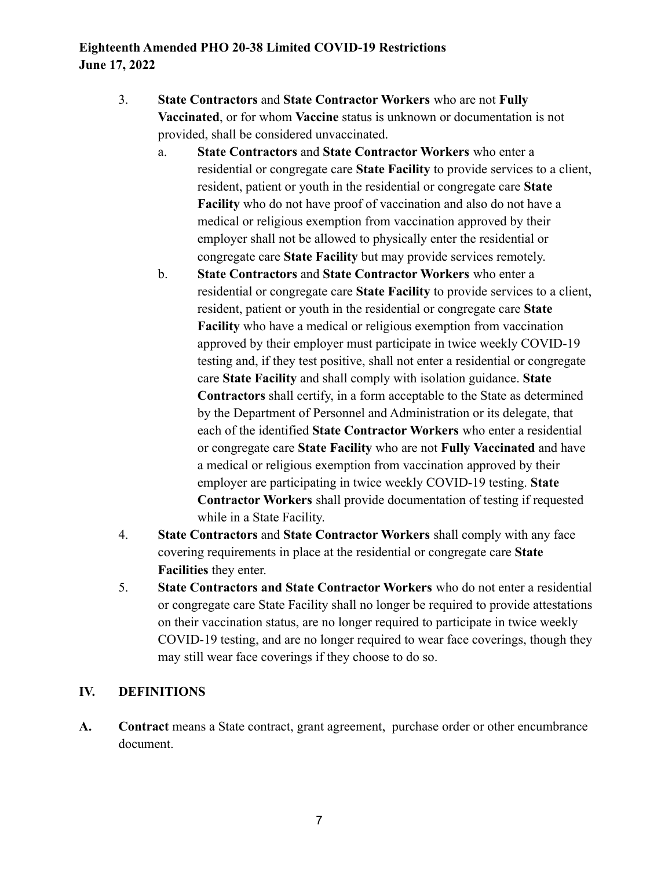- 3. **State Contractors** and **State Contractor Workers** who are not **Fully Vaccinated**, or for whom **Vaccine** status is unknown or documentation is not provided, shall be considered unvaccinated.
	- a. **State Contractors** and **State Contractor Workers** who enter a residential or congregate care **State Facility** to provide services to a client, resident, patient or youth in the residential or congregate care **State Facility** who do not have proof of vaccination and also do not have a medical or religious exemption from vaccination approved by their employer shall not be allowed to physically enter the residential or congregate care **State Facility** but may provide services remotely.
	- b. **State Contractors** and **State Contractor Workers** who enter a residential or congregate care **State Facility** to provide services to a client, resident, patient or youth in the residential or congregate care **State Facility** who have a medical or religious exemption from vaccination approved by their employer must participate in twice weekly COVID-19 testing and, if they test positive, shall not enter a residential or congregate care **State Facility** and shall comply with isolation guidance. **State Contractors** shall certify, in a form acceptable to the State as determined by the Department of Personnel and Administration or its delegate, that each of the identified **State Contractor Workers** who enter a residential or congregate care **State Facility** who are not **Fully Vaccinated** and have a medical or religious exemption from vaccination approved by their employer are participating in twice weekly COVID-19 testing. **State Contractor Workers** shall provide documentation of testing if requested while in a State Facility.
- 4. **State Contractors** and **State Contractor Workers** shall comply with any face covering requirements in place at the residential or congregate care **State Facilities** they enter.
- 5. **State Contractors and State Contractor Workers** who do not enter a residential or congregate care State Facility shall no longer be required to provide attestations on their vaccination status, are no longer required to participate in twice weekly COVID-19 testing, and are no longer required to wear face coverings, though they may still wear face coverings if they choose to do so.

## **IV. DEFINITIONS**

**A. Contract** means a State contract, grant agreement, purchase order or other encumbrance document.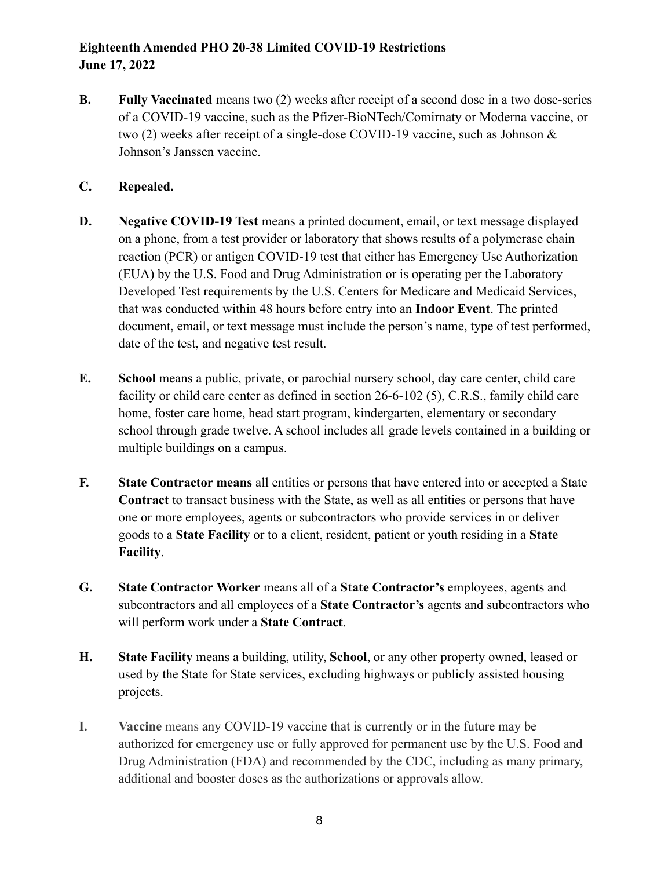**B. Fully Vaccinated** means two (2) weeks after receipt of a second dose in a two dose-series of a COVID-19 vaccine, such as the Pfizer-BioNTech/Comirnaty or Moderna vaccine, or two (2) weeks after receipt of a single-dose COVID-19 vaccine, such as Johnson & Johnson's Janssen vaccine.

### **C. Repealed.**

- **D. Negative COVID-19 Test** means a printed document, email, or text message displayed on a phone, from a test provider or laboratory that shows results of a polymerase chain reaction (PCR) or antigen COVID-19 test that either has Emergency Use Authorization (EUA) by the U.S. Food and Drug Administration or is operating per the Laboratory Developed Test requirements by the U.S. Centers for Medicare and Medicaid Services, that was conducted within 48 hours before entry into an **Indoor Event**. The printed document, email, or text message must include the person's name, type of test performed, date of the test, and negative test result.
- **E. School** means a public, private, or parochial nursery school, day care center, child care facility or child care center as defined in section 26-6-102 (5), C.R.S., family child care home, foster care home, head start program, kindergarten, elementary or secondary school through grade twelve. A school includes all grade levels contained in a building or multiple buildings on a campus.
- **F. State Contractor means** all entities or persons that have entered into or accepted a State **Contract** to transact business with the State, as well as all entities or persons that have one or more employees, agents or subcontractors who provide services in or deliver goods to a **State Facility** or to a client, resident, patient or youth residing in a **State Facility**.
- **G. State Contractor Worker** means all of a **State Contractor's** employees, agents and subcontractors and all employees of a **State Contractor's** agents and subcontractors who will perform work under a **State Contract**.
- **H. State Facility** means a building, utility, **School**, or any other property owned, leased or used by the State for State services, excluding highways or publicly assisted housing projects.
- **I. Vaccine** means any COVID-19 vaccine that is currently or in the future may be authorized for emergency use or fully approved for permanent use by the U.S. Food and Drug Administration (FDA) and recommended by the CDC, including as many primary, additional and booster doses as the authorizations or approvals allow.